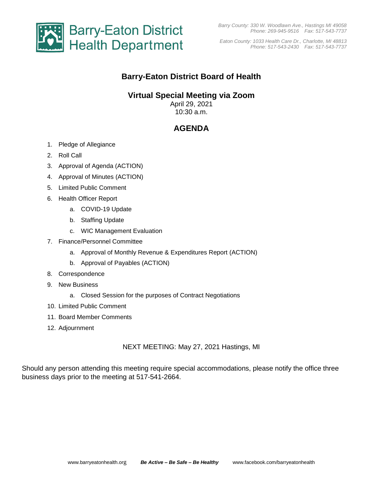

*Eaton County: 1033 Health Care Dr., Charlotte, MI 48813 Phone: 517-543-2430 Fax: 517-543-7737*

## **Barry-Eaton District Board of Health**

### **Virtual Special Meeting via Zoom**

April 29, 2021 10:30 a.m.

# **AGENDA**

- 1. Pledge of Allegiance
- 2. Roll Call
- 3. Approval of Agenda (ACTION)
- 4. Approval of Minutes (ACTION)
- 5. Limited Public Comment
- 6. Health Officer Report
	- a. COVID-19 Update
	- b. Staffing Update
	- c. WIC Management Evaluation
- 7. Finance/Personnel Committee
	- a. Approval of Monthly Revenue & Expenditures Report (ACTION)
	- b. Approval of Payables (ACTION)
- 8. Correspondence
- 9. New Business
	- a. Closed Session for the purposes of Contract Negotiations
- 10. Limited Public Comment
- 11. Board Member Comments
- 12. Adjournment

#### NEXT MEETING: May 27, 2021 Hastings, MI

Should any person attending this meeting require special accommodations, please notify the office three business days prior to the meeting at 517-541-2664.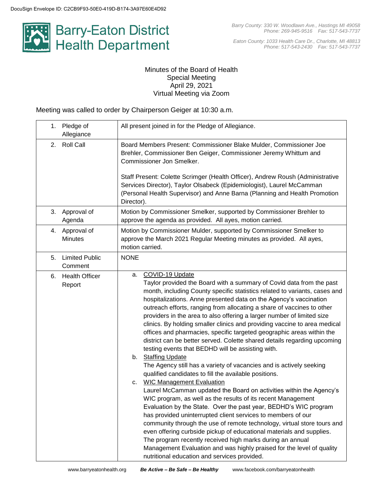

*Eaton County: 1033 Health Care Dr., Charlotte, MI 48813 Phone: 517-543-2430 Fax: 517-543-7737*

#### Minutes of the Board of Health Special Meeting April 29, 2021 Virtual Meeting via Zoom

Meeting was called to order by Chairperson Geiger at 10:30 a.m.

| 1. | Pledge of<br>Allegiance          | All present joined in for the Pledge of Allegiance.                                                                                                                                                                                                                                                                                                                                                                                                                                                                                                                                                                                                                                                                                                                                                                                                                                                                                                                                                                                                                                                                                                                                                                                                                                                                                                                                                                                                                                                             |  |  |
|----|----------------------------------|-----------------------------------------------------------------------------------------------------------------------------------------------------------------------------------------------------------------------------------------------------------------------------------------------------------------------------------------------------------------------------------------------------------------------------------------------------------------------------------------------------------------------------------------------------------------------------------------------------------------------------------------------------------------------------------------------------------------------------------------------------------------------------------------------------------------------------------------------------------------------------------------------------------------------------------------------------------------------------------------------------------------------------------------------------------------------------------------------------------------------------------------------------------------------------------------------------------------------------------------------------------------------------------------------------------------------------------------------------------------------------------------------------------------------------------------------------------------------------------------------------------------|--|--|
| 2. | <b>Roll Call</b>                 | Board Members Present: Commissioner Blake Mulder, Commissioner Joe<br>Brehler, Commissioner Ben Geiger, Commissioner Jeremy Whittum and<br>Commissioner Jon Smelker.<br>Staff Present: Colette Scrimger (Health Officer), Andrew Roush (Administrative                                                                                                                                                                                                                                                                                                                                                                                                                                                                                                                                                                                                                                                                                                                                                                                                                                                                                                                                                                                                                                                                                                                                                                                                                                                          |  |  |
|    |                                  | Services Director), Taylor Olsabeck (Epidemiologist), Laurel McCamman<br>(Personal Health Supervisor) and Anne Barna (Planning and Health Promotion<br>Director).                                                                                                                                                                                                                                                                                                                                                                                                                                                                                                                                                                                                                                                                                                                                                                                                                                                                                                                                                                                                                                                                                                                                                                                                                                                                                                                                               |  |  |
| 3. | Approval of<br>Agenda            | Motion by Commissioner Smelker, supported by Commissioner Brehler to<br>approve the agenda as provided. All ayes, motion carried.                                                                                                                                                                                                                                                                                                                                                                                                                                                                                                                                                                                                                                                                                                                                                                                                                                                                                                                                                                                                                                                                                                                                                                                                                                                                                                                                                                               |  |  |
|    | 4. Approval of<br><b>Minutes</b> | Motion by Commissioner Mulder, supported by Commissioner Smelker to<br>approve the March 2021 Regular Meeting minutes as provided. All ayes,<br>motion carried.                                                                                                                                                                                                                                                                                                                                                                                                                                                                                                                                                                                                                                                                                                                                                                                                                                                                                                                                                                                                                                                                                                                                                                                                                                                                                                                                                 |  |  |
| 5. | <b>Limited Public</b><br>Comment | <b>NONE</b>                                                                                                                                                                                                                                                                                                                                                                                                                                                                                                                                                                                                                                                                                                                                                                                                                                                                                                                                                                                                                                                                                                                                                                                                                                                                                                                                                                                                                                                                                                     |  |  |
| 6. | <b>Health Officer</b><br>Report  | COVID-19 Update<br>a.<br>Taylor provided the Board with a summary of Covid data from the past<br>month, including County specific statistics related to variants, cases and<br>hospitalizations. Anne presented data on the Agency's vaccination<br>outreach efforts, ranging from allocating a share of vaccines to other<br>providers in the area to also offering a larger number of limited size<br>clinics. By holding smaller clinics and providing vaccine to area medical<br>offices and pharmacies, specific targeted geographic areas within the<br>district can be better served. Colette shared details regarding upcoming<br>testing events that BEDHD will be assisting with.<br>b. Staffing Update<br>The Agency still has a variety of vacancies and is actively seeking<br>qualified candidates to fill the available positions.<br><b>WIC Management Evaluation</b><br>c.<br>Laurel McCamman updated the Board on activities within the Agency's<br>WIC program, as well as the results of its recent Management<br>Evaluation by the State. Over the past year, BEDHD's WIC program<br>has provided uninterrupted client services to members of our<br>community through the use of remote technology, virtual store tours and<br>even offering curbside pickup of educational materials and supplies.<br>The program recently received high marks during an annual<br>Management Evaluation and was highly praised for the level of quality<br>nutritional education and services provided. |  |  |